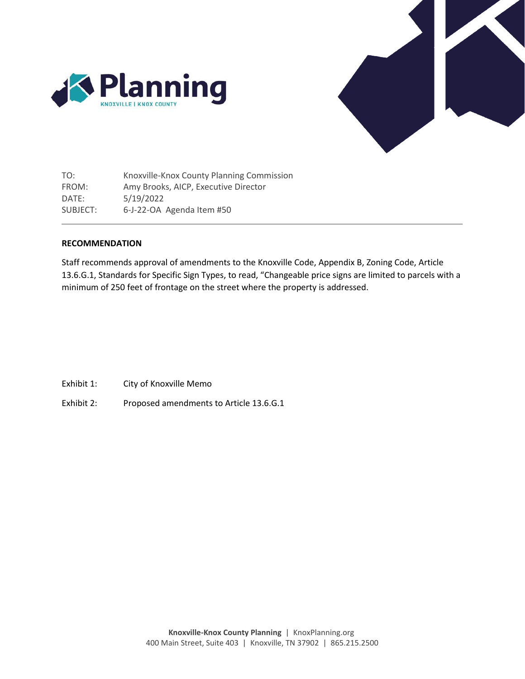



TO: FROM: DATE: SUBJECT: Knoxville-Knox County Planning Commission Amy Brooks, AICP, Executive Director 5/19/2022 6-J-22-OA Agenda Item #50

# **RECOMMENDATION**

Staff recommends approval of amendments to the Knoxville Code, Appendix B, Zoning Code, Article 13.6.G.1, Standards for Specific Sign Types, to read, "Changeable price signs are limited to parcels with a minimum of 250 feet of frontage on the street where the property is addressed.

- Exhibit 1: City of Knoxville Memo
- Exhibit 2: Proposed amendments to Article 13.6.G.1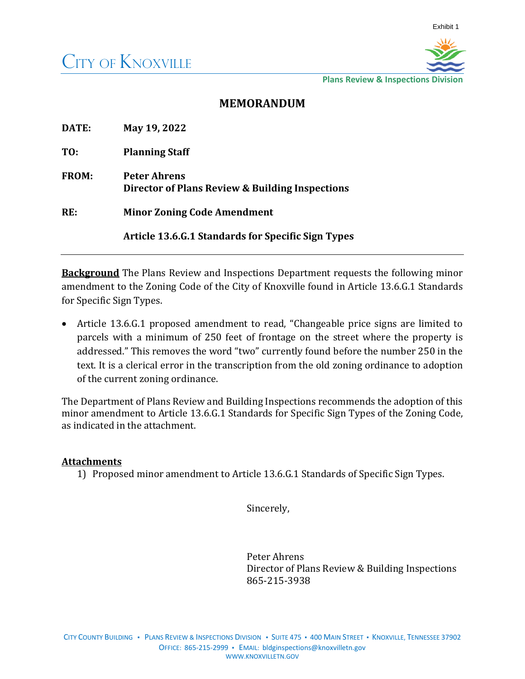

**Plans Review & Inspections Division**

# **MEMORANDUM**

| DATE:        | May 19, 2022                                                           |  |
|--------------|------------------------------------------------------------------------|--|
| TO:          | <b>Planning Staff</b>                                                  |  |
| <b>FROM:</b> | <b>Peter Ahrens</b><br>Director of Plans Review & Building Inspections |  |
| RE:          | <b>Minor Zoning Code Amendment</b>                                     |  |
|              | <b>Article 13.6.G.1 Standards for Specific Sign Types</b>              |  |

**Background** The Plans Review and Inspections Department requests the following minor amendment to the Zoning Code of the City of Knoxville found in Article 13.6.G.1 Standards for Specific Sign Types.

• Article 13.6.G.1 proposed amendment to read, "Changeable price signs are limited to parcels with a minimum of 250 feet of frontage on the street where the property is addressed." This removes the word "two" currently found before the number 250 in the text. It is a clerical error in the transcription from the old zoning ordinance to adoption of the current zoning ordinance.

The Department of Plans Review and Building Inspections recommends the adoption of this minor amendment to Article 13.6.G.1 Standards for Specific Sign Types of the Zoning Code, as indicated in the attachment.

# **Attachments**

1) Proposed minor amendment to Article 13.6.G.1 Standards of Specific Sign Types.

Sincerely,

Peter Ahrens Director of Plans Review & Building Inspections 865-215-3938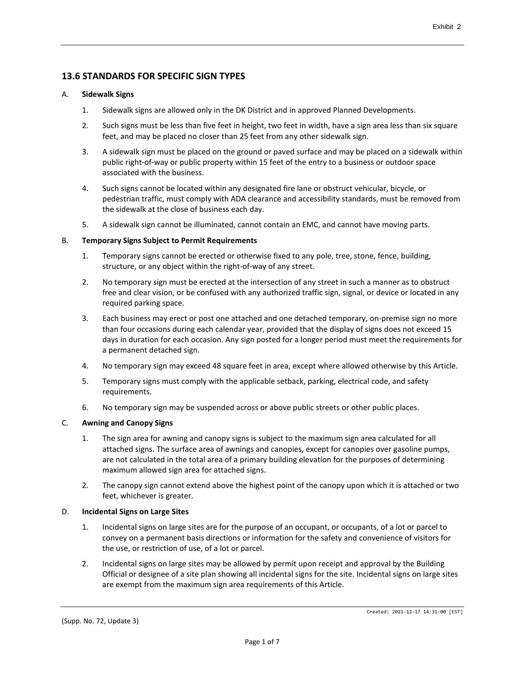# **13.6 STANDARDS FOR SPECIFIC SIGN TYPES**

## A. **Sidewalk Signs**

- 1. Sidewalk signs are allowed only in the DK District and in approved Planned Developments.
- 2. Such signs must be less than five feet in height, two feet in width, have a sign area less than six square feet, and may be placed no closer than 25 feet from any other sidewalk sign.
- 3. A sidewalk sign must be placed on the ground or paved surface and may be placed on a sidewalk within public right-of-way or public property within 15 feet of the entry to a business or outdoor space associated with the business.
- 4. Such signs cannot be located within any designated fire lane or obstruct vehicular, bicycle, or pedestrian traffic, must comply with ADA clearance and accessibility standards, must be removed from the sidewalk at the close of business each day.
- 5. A sidewalk sign cannot be illuminated, cannot contain an EMC, and cannot have moving parts.

## B. **Temporary Signs Subject to Permit Requirements**

- 1. Temporary signs cannot be erected or otherwise fixed to any pole, tree, stone, fence, building, structure, or any object within the right-of-way of any street.
- 2. No temporary sign must be erected at the intersection of any street in such a manner as to obstruct free and clear vision, or be confused with any authorized traffic sign, signal, or device or located in any required parking space.
- 3. Each business may erect or post one attached and one detached temporary, on-premise sign no more than four occasions during each calendar year, provided that the display of signs does not exceed 15 days in duration for each occasion. Any sign posted for a longer period must meet the requirements for a permanent detached sign.
- 4. No temporary sign may exceed 48 square feet in area, except where allowed otherwise by this Article.
- 5. Temporary signs must comply with the applicable setback, parking, electrical code, and safety requirements.
- 6. No temporary sign may be suspended across or above public streets or other public places.

# C. **Awning and Canopy Signs**

- 1. The sign area for awning and canopy signs is subject to the maximum sign area calculated for all attached signs. The surface area of awnings and canopies, except for canopies over gasoline pumps, are not calculated in the total area of a primary building elevation for the purposes of determining maximum allowed sign area for attached signs.
- 2. The canopy sign cannot extend above the highest point of the canopy upon which it is attached or two feet, whichever is greater.

# D. **Incidental Signs on Large Sites**

- 1. Incidental signs on large sites are for the purpose of an occupant, or occupants, of a lot or parcel to convey on a permanent basis directions or information for the safety and convenience of visitors for the use, or restriction of use, of a lot or parcel.
- 2. Incidental signs on large sites may be allowed by permit upon receipt and approval by the Building Official or designee of a site plan showing all incidental signs for the site. Incidental signs on large sites are exempt from the maximum sign area requirements of this Article.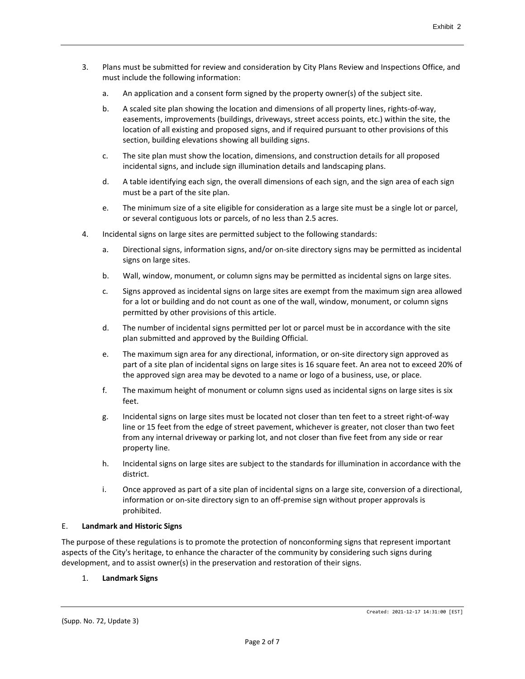- 3. Plans must be submitted for review and consideration by City Plans Review and Inspections Office, and must include the following information:
	- a. An application and a consent form signed by the property owner(s) of the subject site.
	- b. A scaled site plan showing the location and dimensions of all property lines, rights-of-way, easements, improvements (buildings, driveways, street access points, etc.) within the site, the location of all existing and proposed signs, and if required pursuant to other provisions of this section, building elevations showing all building signs.
	- c. The site plan must show the location, dimensions, and construction details for all proposed incidental signs, and include sign illumination details and landscaping plans.
	- d. A table identifying each sign, the overall dimensions of each sign, and the sign area of each sign must be a part of the site plan.
	- e. The minimum size of a site eligible for consideration as a large site must be a single lot or parcel, or several contiguous lots or parcels, of no less than 2.5 acres.
- 4. Incidental signs on large sites are permitted subject to the following standards:
	- a. Directional signs, information signs, and/or on-site directory signs may be permitted as incidental signs on large sites.
	- b. Wall, window, monument, or column signs may be permitted as incidental signs on large sites.
	- c. Signs approved as incidental signs on large sites are exempt from the maximum sign area allowed for a lot or building and do not count as one of the wall, window, monument, or column signs permitted by other provisions of this article.
	- d. The number of incidental signs permitted per lot or parcel must be in accordance with the site plan submitted and approved by the Building Official.
	- e. The maximum sign area for any directional, information, or on-site directory sign approved as part of a site plan of incidental signs on large sites is 16 square feet. An area not to exceed 20% of the approved sign area may be devoted to a name or logo of a business, use, or place.
	- f. The maximum height of monument or column signs used as incidental signs on large sites is six feet.
	- g. Incidental signs on large sites must be located not closer than ten feet to a street right-of-way line or 15 feet from the edge of street pavement, whichever is greater, not closer than two feet from any internal driveway or parking lot, and not closer than five feet from any side or rear property line.
	- h. Incidental signs on large sites are subject to the standards for illumination in accordance with the district.
	- i. Once approved as part of a site plan of incidental signs on a large site, conversion of a directional, information or on-site directory sign to an off-premise sign without proper approvals is prohibited.

### E. **Landmark and Historic Signs**

The purpose of these regulations is to promote the protection of nonconforming signs that represent important aspects of the City's heritage, to enhance the character of the community by considering such signs during development, and to assist owner(s) in the preservation and restoration of their signs.

# 1. **Landmark Signs**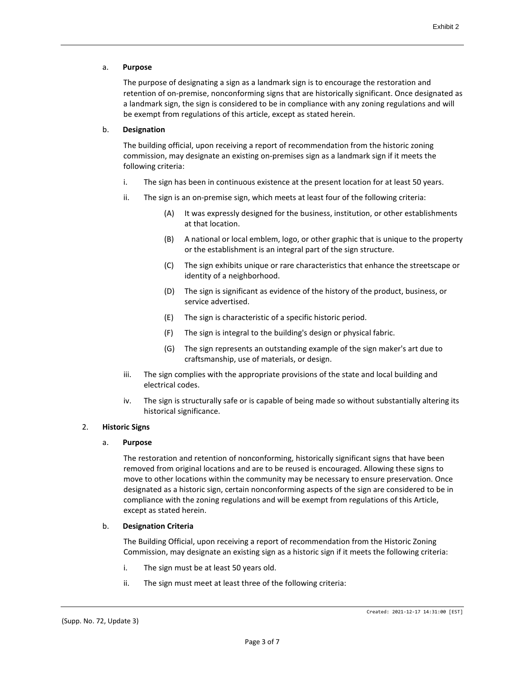## a. **Purpose**

The purpose of designating a sign as a landmark sign is to encourage the restoration and retention of on-premise, nonconforming signs that are historically significant. Once designated as a landmark sign, the sign is considered to be in compliance with any zoning regulations and will be exempt from regulations of this article, except as stated herein.

## b. **Designation**

The building official, upon receiving a report of recommendation from the historic zoning commission, may designate an existing on-premises sign as a landmark sign if it meets the following criteria:

- i. The sign has been in continuous existence at the present location for at least 50 years.
- ii. The sign is an on-premise sign, which meets at least four of the following criteria:
	- (A) It was expressly designed for the business, institution, or other establishments at that location.
	- (B) A national or local emblem, logo, or other graphic that is unique to the property or the establishment is an integral part of the sign structure.
	- (C) The sign exhibits unique or rare characteristics that enhance the streetscape or identity of a neighborhood.
	- (D) The sign is significant as evidence of the history of the product, business, or service advertised.
	- (E) The sign is characteristic of a specific historic period.
	- (F) The sign is integral to the building's design or physical fabric.
	- (G) The sign represents an outstanding example of the sign maker's art due to craftsmanship, use of materials, or design.
- iii. The sign complies with the appropriate provisions of the state and local building and electrical codes.
- iv. The sign is structurally safe or is capable of being made so without substantially altering its historical significance.

# 2. **Historic Signs**

### a. **Purpose**

The restoration and retention of nonconforming, historically significant signs that have been removed from original locations and are to be reused is encouraged. Allowing these signs to move to other locations within the community may be necessary to ensure preservation. Once designated as a historic sign, certain nonconforming aspects of the sign are considered to be in compliance with the zoning regulations and will be exempt from regulations of this Article, except as stated herein.

### b. **Designation Criteria**

The Building Official, upon receiving a report of recommendation from the Historic Zoning Commission, may designate an existing sign as a historic sign if it meets the following criteria:

- i. The sign must be at least 50 years old.
- ii. The sign must meet at least three of the following criteria: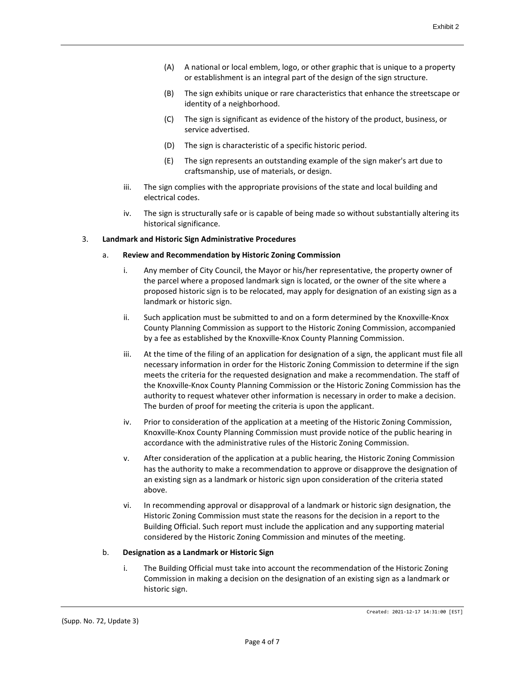- (A) A national or local emblem, logo, or other graphic that is unique to a property or establishment is an integral part of the design of the sign structure.
- (B) The sign exhibits unique or rare characteristics that enhance the streetscape or identity of a neighborhood.
- (C) The sign is significant as evidence of the history of the product, business, or service advertised.
- (D) The sign is characteristic of a specific historic period.
- (E) The sign represents an outstanding example of the sign maker's art due to craftsmanship, use of materials, or design.
- iii. The sign complies with the appropriate provisions of the state and local building and electrical codes.
- iv. The sign is structurally safe or is capable of being made so without substantially altering its historical significance.

## 3. **Landmark and Historic Sign Administrative Procedures**

## a. **Review and Recommendation by Historic Zoning Commission**

- i. Any member of City Council, the Mayor or his/her representative, the property owner of the parcel where a proposed landmark sign is located, or the owner of the site where a proposed historic sign is to be relocated, may apply for designation of an existing sign as a landmark or historic sign.
- ii. Such application must be submitted to and on a form determined by the Knoxville-Knox County Planning Commission as support to the Historic Zoning Commission, accompanied by a fee as established by the Knoxville-Knox County Planning Commission.
- iii. At the time of the filing of an application for designation of a sign, the applicant must file all necessary information in order for the Historic Zoning Commission to determine if the sign meets the criteria for the requested designation and make a recommendation. The staff of the Knoxville-Knox County Planning Commission or the Historic Zoning Commission has the authority to request whatever other information is necessary in order to make a decision. The burden of proof for meeting the criteria is upon the applicant.
- iv. Prior to consideration of the application at a meeting of the Historic Zoning Commission, Knoxville-Knox County Planning Commission must provide notice of the public hearing in accordance with the administrative rules of the Historic Zoning Commission.
- v. After consideration of the application at a public hearing, the Historic Zoning Commission has the authority to make a recommendation to approve or disapprove the designation of an existing sign as a landmark or historic sign upon consideration of the criteria stated above.
- vi. In recommending approval or disapproval of a landmark or historic sign designation, the Historic Zoning Commission must state the reasons for the decision in a report to the Building Official. Such report must include the application and any supporting material considered by the Historic Zoning Commission and minutes of the meeting.

### b. **Designation as a Landmark or Historic Sign**

i. The Building Official must take into account the recommendation of the Historic Zoning Commission in making a decision on the designation of an existing sign as a landmark or historic sign.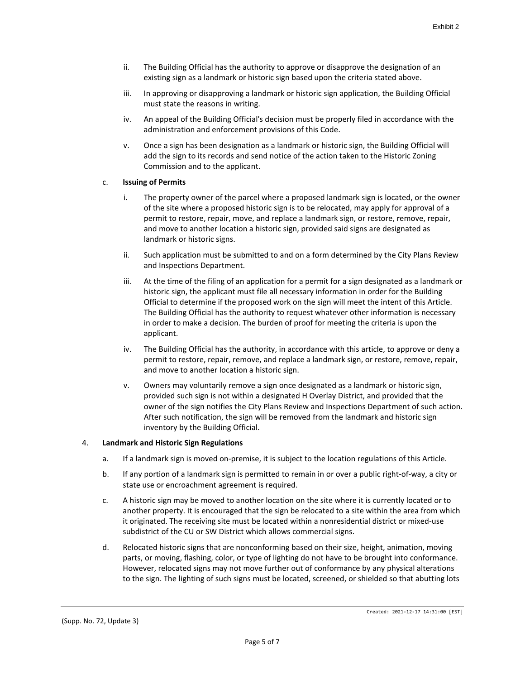- ii. The Building Official has the authority to approve or disapprove the designation of an existing sign as a landmark or historic sign based upon the criteria stated above.
- iii. In approving or disapproving a landmark or historic sign application, the Building Official must state the reasons in writing.
- iv. An appeal of the Building Official's decision must be properly filed in accordance with the administration and enforcement provisions of this Code.
- v. Once a sign has been designation as a landmark or historic sign, the Building Official will add the sign to its records and send notice of the action taken to the Historic Zoning Commission and to the applicant.

## c. **Issuing of Permits**

- i. The property owner of the parcel where a proposed landmark sign is located, or the owner of the site where a proposed historic sign is to be relocated, may apply for approval of a permit to restore, repair, move, and replace a landmark sign, or restore, remove, repair, and move to another location a historic sign, provided said signs are designated as landmark or historic signs.
- ii. Such application must be submitted to and on a form determined by the City Plans Review and Inspections Department.
- iii. At the time of the filing of an application for a permit for a sign designated as a landmark or historic sign, the applicant must file all necessary information in order for the Building Official to determine if the proposed work on the sign will meet the intent of this Article. The Building Official has the authority to request whatever other information is necessary in order to make a decision. The burden of proof for meeting the criteria is upon the applicant.
- iv. The Building Official has the authority, in accordance with this article, to approve or deny a permit to restore, repair, remove, and replace a landmark sign, or restore, remove, repair, and move to another location a historic sign.
- v. Owners may voluntarily remove a sign once designated as a landmark or historic sign, provided such sign is not within a designated H Overlay District, and provided that the owner of the sign notifies the City Plans Review and Inspections Department of such action. After such notification, the sign will be removed from the landmark and historic sign inventory by the Building Official.

### 4. **Landmark and Historic Sign Regulations**

- a. If a landmark sign is moved on-premise, it is subject to the location regulations of this Article.
- b. If any portion of a landmark sign is permitted to remain in or over a public right-of-way, a city or state use or encroachment agreement is required.
- c. A historic sign may be moved to another location on the site where it is currently located or to another property. It is encouraged that the sign be relocated to a site within the area from which it originated. The receiving site must be located within a nonresidential district or mixed-use subdistrict of the CU or SW District which allows commercial signs.
- d. Relocated historic signs that are nonconforming based on their size, height, animation, moving parts, or moving, flashing, color, or type of lighting do not have to be brought into conformance. However, relocated signs may not move further out of conformance by any physical alterations to the sign. The lighting of such signs must be located, screened, or shielded so that abutting lots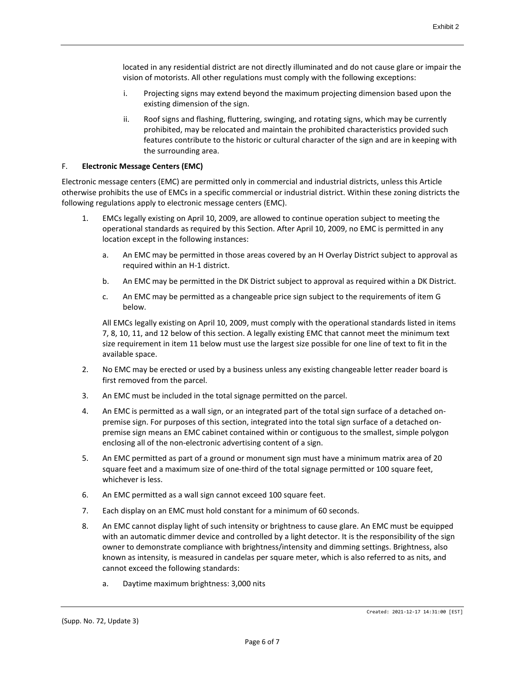located in any residential district are not directly illuminated and do not cause glare or impair the vision of motorists. All other regulations must comply with the following exceptions:

- i. Projecting signs may extend beyond the maximum projecting dimension based upon the existing dimension of the sign.
- ii. Roof signs and flashing, fluttering, swinging, and rotating signs, which may be currently prohibited, may be relocated and maintain the prohibited characteristics provided such features contribute to the historic or cultural character of the sign and are in keeping with the surrounding area.

### F. **Electronic Message Centers (EMC)**

Electronic message centers (EMC) are permitted only in commercial and industrial districts, unless this Article otherwise prohibits the use of EMCs in a specific commercial or industrial district. Within these zoning districts the following regulations apply to electronic message centers (EMC).

- 1. EMCs legally existing on April 10, 2009, are allowed to continue operation subject to meeting the operational standards as required by this Section. After April 10, 2009, no EMC is permitted in any location except in the following instances:
	- a. An EMC may be permitted in those areas covered by an H Overlay District subject to approval as required within an H-1 district.
	- b. An EMC may be permitted in the DK District subject to approval as required within a DK District.
	- c. An EMC may be permitted as a changeable price sign subject to the requirements of item G below.

All EMCs legally existing on April 10, 2009, must comply with the operational standards listed in items 7, 8, 10, 11, and 12 below of this section. A legally existing EMC that cannot meet the minimum text size requirement in item 11 below must use the largest size possible for one line of text to fit in the available space.

- 2. No EMC may be erected or used by a business unless any existing changeable letter reader board is first removed from the parcel.
- 3. An EMC must be included in the total signage permitted on the parcel.
- 4. An EMC is permitted as a wall sign, or an integrated part of the total sign surface of a detached onpremise sign. For purposes of this section, integrated into the total sign surface of a detached onpremise sign means an EMC cabinet contained within or contiguous to the smallest, simple polygon enclosing all of the non-electronic advertising content of a sign.
- 5. An EMC permitted as part of a ground or monument sign must have a minimum matrix area of 20 square feet and a maximum size of one-third of the total signage permitted or 100 square feet, whichever is less.
- 6. An EMC permitted as a wall sign cannot exceed 100 square feet.
- 7. Each display on an EMC must hold constant for a minimum of 60 seconds.
- 8. An EMC cannot display light of such intensity or brightness to cause glare. An EMC must be equipped with an automatic dimmer device and controlled by a light detector. It is the responsibility of the sign owner to demonstrate compliance with brightness/intensity and dimming settings. Brightness, also known as intensity, is measured in candelas per square meter, which is also referred to as nits, and cannot exceed the following standards:
	- a. Daytime maximum brightness: 3,000 nits